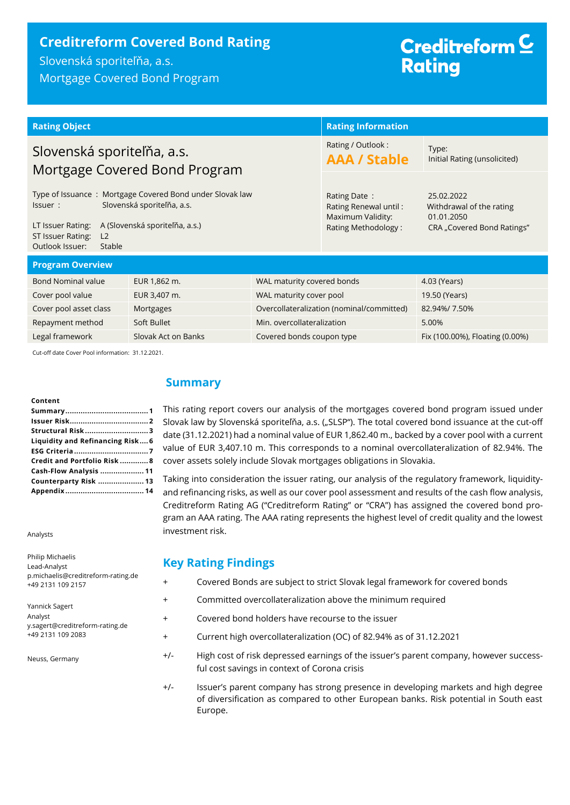# **Creditreform Covered Bond Rating**

Slovenská sporiteľňa, a.s. Mortgage Covered Bond Program

# Creditreform<sup>C</sup> **Rating**

| <b>Rating Object</b>                                                                                                                                                                                             |                                         |                            | <b>Rating Information</b>                                                         |                                                                                    |  |
|------------------------------------------------------------------------------------------------------------------------------------------------------------------------------------------------------------------|-----------------------------------------|----------------------------|-----------------------------------------------------------------------------------|------------------------------------------------------------------------------------|--|
| Slovenská sporiteľňa, a.s.<br>Mortgage Covered Bond Program                                                                                                                                                      |                                         |                            | Rating / Outlook:<br><b>AAA / Stable</b>                                          | Type:<br>Initial Rating (unsolicited)                                              |  |
| Type of Issuance: Mortgage Covered Bond under Slovak law<br>Slovenská sporiteľňa, a.s.<br>Issuer:<br>A (Slovenská sporiteľňa, a.s.)<br>LT Issuer Rating:<br>ST Issuer Rating:<br>L2<br>Outlook Issuer:<br>Stable |                                         |                            | Rating Date:<br>Rating Renewal until:<br>Maximum Validity:<br>Rating Methodology: | 25.02.2022<br>Withdrawal of the rating<br>01.01.2050<br>CRA "Covered Bond Ratings" |  |
| <b>Program Overview</b>                                                                                                                                                                                          |                                         |                            |                                                                                   |                                                                                    |  |
| <b>Bond Nominal value</b>                                                                                                                                                                                        | EUR 1,862 m.                            | WAL maturity covered bonds |                                                                                   | 4.03 (Years)                                                                       |  |
| Cover pool value                                                                                                                                                                                                 | WAL maturity cover pool<br>EUR 3,407 m. |                            |                                                                                   | 19.50 (Years)                                                                      |  |
| Cover pool asset class                                                                                                                                                                                           | Mortgages                               |                            | Overcollateralization (nominal/committed)                                         | 82.94%/7.50%                                                                       |  |
| Soft Bullet<br>Repayment method                                                                                                                                                                                  |                                         | Min. overcollateralization |                                                                                   | 5.00%                                                                              |  |
| Legal framework<br>Slovak Act on Banks                                                                                                                                                                           |                                         | Covered bonds coupon type  |                                                                                   | Fix (100.00%), Floating (0.00%)                                                    |  |
| $C_{ijk}$ eff data $C_{i}$ uss Deal information: 31.13.3031                                                                                                                                                      |                                         |                            |                                                                                   |                                                                                    |  |

off date Cover Pool information: 31.12.2021.

#### **Content**

| Liquidity and Refinancing Risk 6 |
|----------------------------------|
|                                  |
| Credit and Portfolio Risk  8     |
| Cash-Flow Analysis  11           |
| Counterparty Risk  13            |
|                                  |

Analysts

Philip Michaelis

| Philip Michaelis                   |
|------------------------------------|
| Lead-Analyst                       |
| p.michaelis@creditreform-rating.de |
| +49 2131 109 2157                  |
|                                    |
| Yannick Sagert                     |
| Analyst                            |
| y.sagert@creditreform-rating.de    |
| +49 2131 109 2083                  |
|                                    |
|                                    |

Neuss, Germany

# <span id="page-0-0"></span>**Summary**

This rating report covers our analysis of the mortgages covered bond program issued under Slovak law by Slovenská sporiteľňa, a.s. ("SLSP"). The total covered bond issuance at the cut-off date (31.12.2021) had a nominal value of EUR 1,862.40 m., backed by a cover pool with a current value of EUR 3,407.10 m. This corresponds to a nominal overcollateralization of 82.94%. The cover assets solely include Slovak mortgages obligations in Slovakia.

Taking into consideration the issuer rating, our analysis of the regulatory framework, liquidityand refinancing risks, as well as our cover pool assessment and results of the cash flow analysis, Creditreform Rating AG ("Creditreform Rating" or "CRA") has assigned the covered bond program an AAA rating. The AAA rating represents the highest level of credit quality and the lowest investment risk.

### **Key Rating Findings**

|  |  | Covered Bonds are subject to strict Slovak legal framework for covered bonds |  |  |  |  |  |
|--|--|------------------------------------------------------------------------------|--|--|--|--|--|
|--|--|------------------------------------------------------------------------------|--|--|--|--|--|

- + Committed overcollateralization above the minimum required
- + Covered bond holders have recourse to the issuer
- + Current high overcollateralization (OC) of 82.94% as of 31.12.2021
- +/- High cost of risk depressed earnings of the issuer's parent company, however successful cost savings in context of Corona crisis
- +/- Issuer's parent company has strong presence in developing markets and high degree of diversification as compared to other European banks. Risk potential in South east Europe.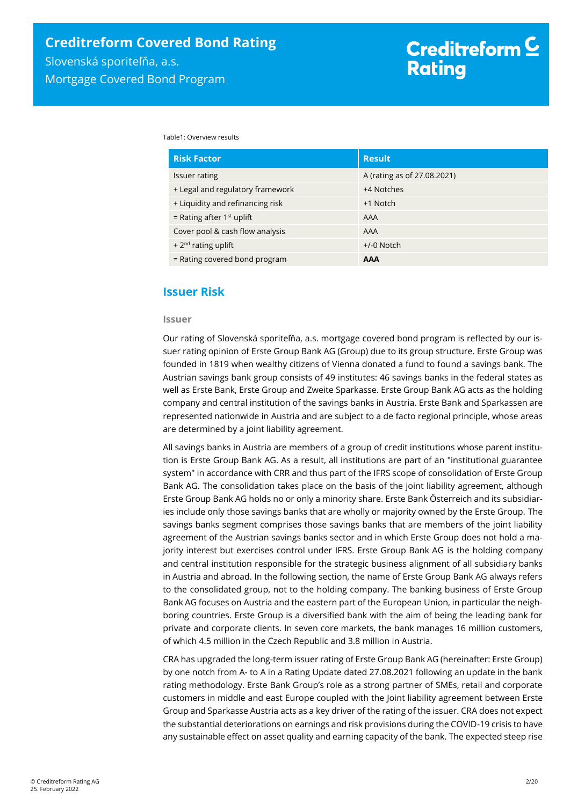Table1: Overview results

| <b>Risk Factor</b>               | <b>Result</b>               |
|----------------------------------|-----------------------------|
| Issuer rating                    | A (rating as of 27.08.2021) |
| + Legal and regulatory framework | +4 Notches                  |
| + Liquidity and refinancing risk | +1 Notch                    |
| = Rating after $1st$ uplift      | AAA                         |
| Cover pool & cash flow analysis  | AAA                         |
| + $2nd$ rating uplift            | $+/-0$ Notch                |
| = Rating covered bond program    | <b>AAA</b>                  |

## <span id="page-1-0"></span>**Issuer Risk**

#### **Issuer**

Our rating of Slovenská sporiteľňa, a.s. mortgage covered bond program is reflected by our issuer rating opinion of Erste Group Bank AG (Group) due to its group structure. Erste Group was founded in 1819 when wealthy citizens of Vienna donated a fund to found a savings bank. The Austrian savings bank group consists of 49 institutes: 46 savings banks in the federal states as well as Erste Bank, Erste Group and Zweite Sparkasse. Erste Group Bank AG acts as the holding company and central institution of the savings banks in Austria. Erste Bank and Sparkassen are represented nationwide in Austria and are subject to a de facto regional principle, whose areas are determined by a joint liability agreement.

All savings banks in Austria are members of a group of credit institutions whose parent institution is Erste Group Bank AG. As a result, all institutions are part of an "institutional guarantee system" in accordance with CRR and thus part of the IFRS scope of consolidation of Erste Group Bank AG. The consolidation takes place on the basis of the joint liability agreement, although Erste Group Bank AG holds no or only a minority share. Erste Bank Österreich and its subsidiaries include only those savings banks that are wholly or majority owned by the Erste Group. The savings banks segment comprises those savings banks that are members of the joint liability agreement of the Austrian savings banks sector and in which Erste Group does not hold a majority interest but exercises control under IFRS. Erste Group Bank AG is the holding company and central institution responsible for the strategic business alignment of all subsidiary banks in Austria and abroad. In the following section, the name of Erste Group Bank AG always refers to the consolidated group, not to the holding company. The banking business of Erste Group Bank AG focuses on Austria and the eastern part of the European Union, in particular the neighboring countries. Erste Group is a diversified bank with the aim of being the leading bank for private and corporate clients. In seven core markets, the bank manages 16 million customers, of which 4.5 million in the Czech Republic and 3.8 million in Austria.

CRA has upgraded the long-term issuer rating of Erste Group Bank AG (hereinafter: Erste Group) by one notch from A- to A in a Rating Update dated 27.08.2021 following an update in the bank rating methodology. Erste Bank Group's role as a strong partner of SMEs, retail and corporate customers in middle and east Europe coupled with the Joint liability agreement between Erste Group and Sparkasse Austria acts as a key driver of the rating of the issuer. CRA does not expect the substantial deteriorations on earnings and risk provisions during the COVID-19 crisis to have any sustainable effect on asset quality and earning capacity of the bank. The expected steep rise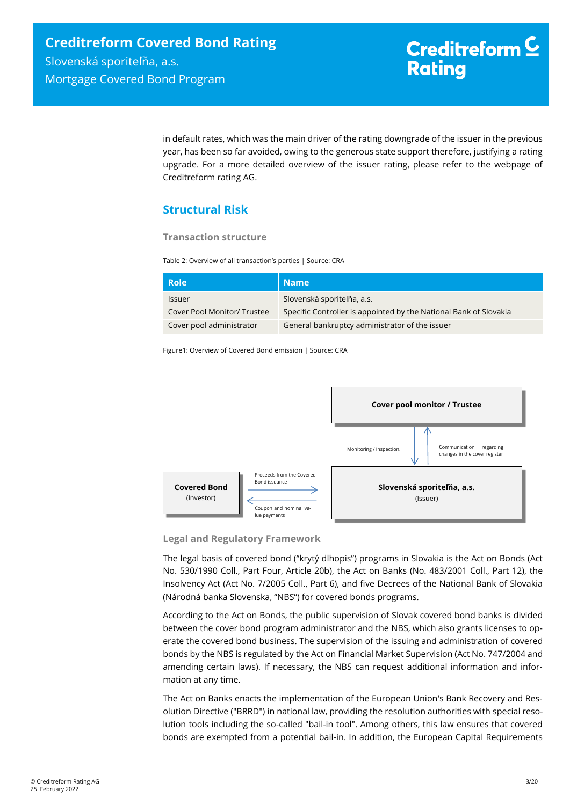in default rates, which was the main driver of the rating downgrade of the issuer in the previous year, has been so far avoided, owing to the generous state support therefore, justifying a rating upgrade. For a more detailed overview of the issuer rating, please refer to the webpage of Creditreform rating AG.

# <span id="page-2-0"></span>**Structural Risk**

#### **Transaction structure**

Table 2: Overview of all transaction's parties | Source: CRA

| <b>Role</b>                 | <b>Name</b>                                                       |
|-----------------------------|-------------------------------------------------------------------|
| <b>Issuer</b>               | Slovenská sporiteľňa, a.s.                                        |
| Cover Pool Monitor/ Trustee | Specific Controller is appointed by the National Bank of Slovakia |
| Cover pool administrator    | General bankruptcy administrator of the issuer                    |

Figure1: Overview of Covered Bond emission | Source: CRA



**Legal and Regulatory Framework**

The legal basis of covered bond ("krytý dlhopis") programs in Slovakia is the Act on Bonds (Act No. 530/1990 Coll., Part Four, Article 20b), the Act on Banks (No. 483/2001 Coll., Part 12), the Insolvency Act (Act No. 7/2005 Coll., Part 6), and five Decrees of the National Bank of Slovakia (Národná banka Slovenska, "NBS") for covered bonds programs.

According to the Act on Bonds, the public supervision of Slovak covered bond banks is divided between the cover bond program administrator and the NBS, which also grants licenses to operate the covered bond business. The supervision of the issuing and administration of covered bonds by the NBS is regulated by the Act on Financial Market Supervision (Act No. 747/2004 and amending certain laws). If necessary, the NBS can request additional information and information at any time.

The Act on Banks enacts the implementation of the European Union's Bank Recovery and Resolution Directive ("BRRD") in national law, providing the resolution authorities with special resolution tools including the so-called "bail-in tool". Among others, this law ensures that covered bonds are exempted from a potential bail-in. In addition, the European Capital Requirements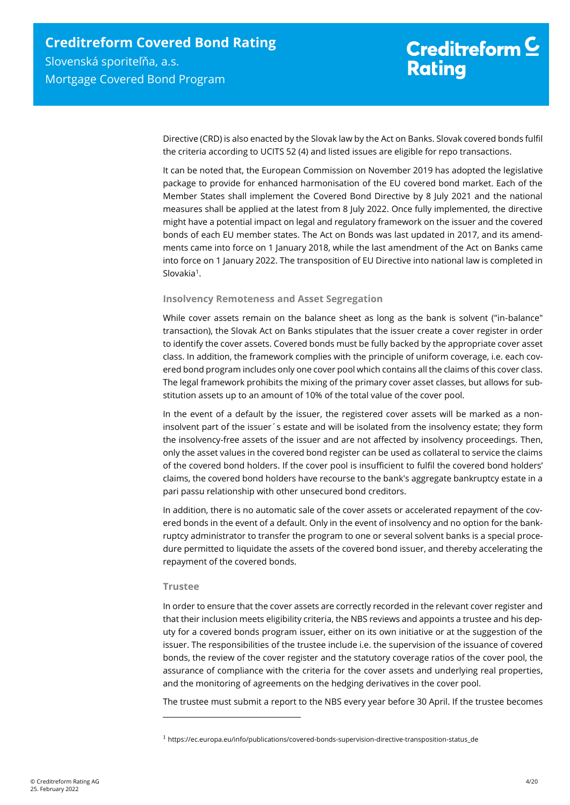Directive (CRD) is also enacted by the Slovak law by the Act on Banks. Slovak covered bonds fulfil the criteria according to UCITS 52 (4) and listed issues are eligible for repo transactions.

It can be noted that, the European Commission on November 2019 has adopted the legislative package to provide for enhanced harmonisation of the EU covered bond market. Each of the Member States shall implement the Covered Bond Directive by 8 July 2021 and the national measures shall be applied at the latest from 8 July 2022. Once fully implemented, the directive might have a potential impact on legal and regulatory framework on the issuer and the covered bonds of each EU member states. The Act on Bonds was last updated in 2017, and its amendments came into force on 1 January 2018, while the last amendment of the Act on Banks came into force on 1 January 2022. The transposition of EU Directive into national law is completed in Slovakia<sup>1</sup>.

#### **Insolvency Remoteness and Asset Segregation**

While cover assets remain on the balance sheet as long as the bank is solvent ("in-balance" transaction), the Slovak Act on Banks stipulates that the issuer create a cover register in order to identify the cover assets. Covered bonds must be fully backed by the appropriate cover asset class. In addition, the framework complies with the principle of uniform coverage, i.e. each covered bond program includes only one cover pool which contains all the claims of this cover class. The legal framework prohibits the mixing of the primary cover asset classes, but allows for substitution assets up to an amount of 10% of the total value of the cover pool.

In the event of a default by the issuer, the registered cover assets will be marked as a noninsolvent part of the issuer´s estate and will be isolated from the insolvency estate; they form the insolvency-free assets of the issuer and are not affected by insolvency proceedings. Then, only the asset values in the covered bond register can be used as collateral to service the claims of the covered bond holders. If the cover pool is insufficient to fulfil the covered bond holders' claims, the covered bond holders have recourse to the bank's aggregate bankruptcy estate in a pari passu relationship with other unsecured bond creditors.

In addition, there is no automatic sale of the cover assets or accelerated repayment of the covered bonds in the event of a default. Only in the event of insolvency and no option for the bankruptcy administrator to transfer the program to one or several solvent banks is a special procedure permitted to liquidate the assets of the covered bond issuer, and thereby accelerating the repayment of the covered bonds.

#### **Trustee**

 $\overline{a}$ 

In order to ensure that the cover assets are correctly recorded in the relevant cover register and that their inclusion meets eligibility criteria, the NBS reviews and appoints a trustee and his deputy for a covered bonds program issuer, either on its own initiative or at the suggestion of the issuer. The responsibilities of the trustee include i.e. the supervision of the issuance of covered bonds, the review of the cover register and the statutory coverage ratios of the cover pool, the assurance of compliance with the criteria for the cover assets and underlying real properties, and the monitoring of agreements on the hedging derivatives in the cover pool.

The trustee must submit a report to the NBS every year before 30 April. If the trustee becomes

 $1$  https://ec.europa.eu/info/publications/covered-bonds-supervision-directive-transposition-status\_de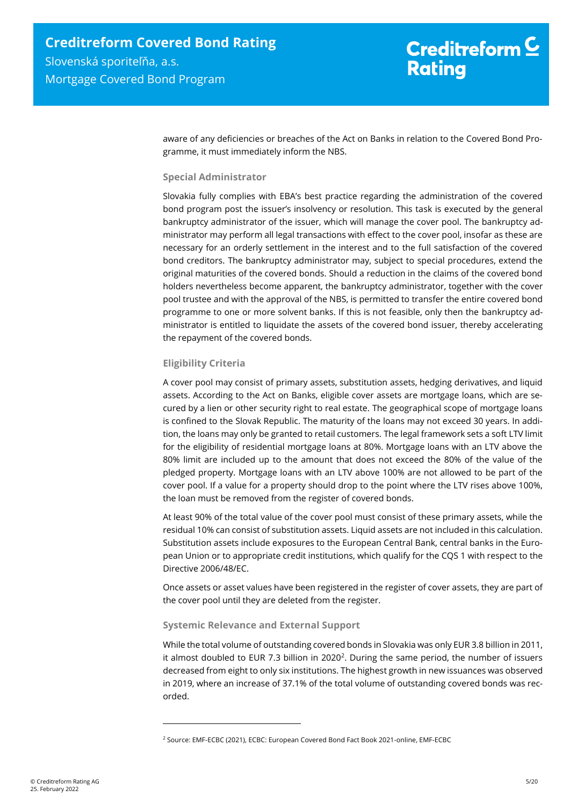aware of any deficiencies or breaches of the Act on Banks in relation to the Covered Bond Programme, it must immediately inform the NBS.

#### **Special Administrator**

Slovakia fully complies with EBA's best practice regarding the administration of the covered bond program post the issuer's insolvency or resolution. This task is executed by the general bankruptcy administrator of the issuer, which will manage the cover pool. The bankruptcy administrator may perform all legal transactions with effect to the cover pool, insofar as these are necessary for an orderly settlement in the interest and to the full satisfaction of the covered bond creditors. The bankruptcy administrator may, subject to special procedures, extend the original maturities of the covered bonds. Should a reduction in the claims of the covered bond holders nevertheless become apparent, the bankruptcy administrator, together with the cover pool trustee and with the approval of the NBS, is permitted to transfer the entire covered bond programme to one or more solvent banks. If this is not feasible, only then the bankruptcy administrator is entitled to liquidate the assets of the covered bond issuer, thereby accelerating the repayment of the covered bonds.

#### **Eligibility Criteria**

 $\overline{a}$ 

A cover pool may consist of primary assets, substitution assets, hedging derivatives, and liquid assets. According to the Act on Banks, eligible cover assets are mortgage loans, which are secured by a lien or other security right to real estate. The geographical scope of mortgage loans is confined to the Slovak Republic. The maturity of the loans may not exceed 30 years. In addition, the loans may only be granted to retail customers. The legal framework sets a soft LTV limit for the eligibility of residential mortgage loans at 80%. Mortgage loans with an LTV above the 80% limit are included up to the amount that does not exceed the 80% of the value of the pledged property. Mortgage loans with an LTV above 100% are not allowed to be part of the cover pool. If a value for a property should drop to the point where the LTV rises above 100%, the loan must be removed from the register of covered bonds.

At least 90% of the total value of the cover pool must consist of these primary assets, while the residual 10% can consist of substitution assets. Liquid assets are not included in this calculation. Substitution assets include exposures to the European Central Bank, central banks in the European Union or to appropriate credit institutions, which qualify for the CQS 1 with respect to the Directive 2006/48/EC.

Once assets or asset values have been registered in the register of cover assets, they are part of the cover pool until they are deleted from the register.

#### **Systemic Relevance and External Support**

While the total volume of outstanding covered bonds in Slovakia was only EUR 3.8 billion in 2011, it almost doubled to EUR 7.3 billion in 2020<sup>2</sup>. During the same period, the number of issuers decreased from eight to only six institutions. The highest growth in new issuances was observed in 2019, where an increase of 37.1% of the total volume of outstanding covered bonds was recorded.

<sup>2</sup> Source: EMF-ECBC (2021), ECBC: European Covered Bond Fact Book 2021-online, EMF-ECBC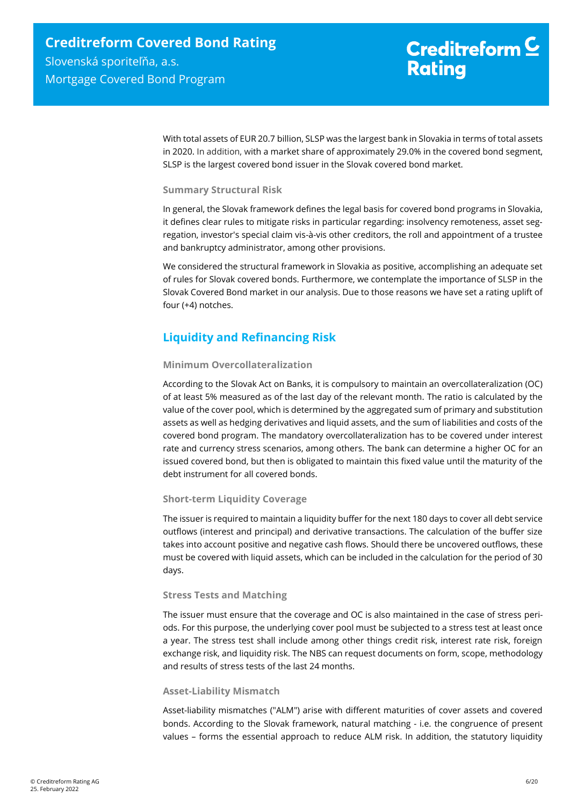With total assets of EUR 20.7 billion, SLSP was the largest bank in Slovakia in terms of total assets in 2020. In addition, with a market share of approximately 29.0% in the covered bond segment, SLSP is the largest covered bond issuer in the Slovak covered bond market.

#### **Summary Structural Risk**

In general, the Slovak framework defines the legal basis for covered bond programs in Slovakia, it defines clear rules to mitigate risks in particular regarding: insolvency remoteness, asset segregation, investor's special claim vis-à-vis other creditors, the roll and appointment of a trustee and bankruptcy administrator, among other provisions.

We considered the structural framework in Slovakia as positive, accomplishing an adequate set of rules for Slovak covered bonds. Furthermore, we contemplate the importance of SLSP in the Slovak Covered Bond market in our analysis. Due to those reasons we have set a rating uplift of four (+4) notches.

# <span id="page-5-0"></span>**Liquidity and Refinancing Risk**

#### **Minimum Overcollateralization**

According to the Slovak Act on Banks, it is compulsory to maintain an overcollateralization (OC) of at least 5% measured as of the last day of the relevant month. The ratio is calculated by the value of the cover pool, which is determined by the aggregated sum of primary and substitution assets as well as hedging derivatives and liquid assets, and the sum of liabilities and costs of the covered bond program. The mandatory overcollateralization has to be covered under interest rate and currency stress scenarios, among others. The bank can determine a higher OC for an issued covered bond, but then is obligated to maintain this fixed value until the maturity of the debt instrument for all covered bonds.

#### **Short-term Liquidity Coverage**

The issuer is required to maintain a liquidity buffer for the next 180 days to cover all debt service outflows (interest and principal) and derivative transactions. The calculation of the buffer size takes into account positive and negative cash flows. Should there be uncovered outflows, these must be covered with liquid assets, which can be included in the calculation for the period of 30 days.

#### **Stress Tests and Matching**

The issuer must ensure that the coverage and OC is also maintained in the case of stress periods. For this purpose, the underlying cover pool must be subjected to a stress test at least once a year. The stress test shall include among other things credit risk, interest rate risk, foreign exchange risk, and liquidity risk. The NBS can request documents on form, scope, methodology and results of stress tests of the last 24 months.

#### **Asset-Liability Mismatch**

Asset-liability mismatches ("ALM") arise with different maturities of cover assets and covered bonds. According to the Slovak framework, natural matching - i.e. the congruence of present values – forms the essential approach to reduce ALM risk. In addition, the statutory liquidity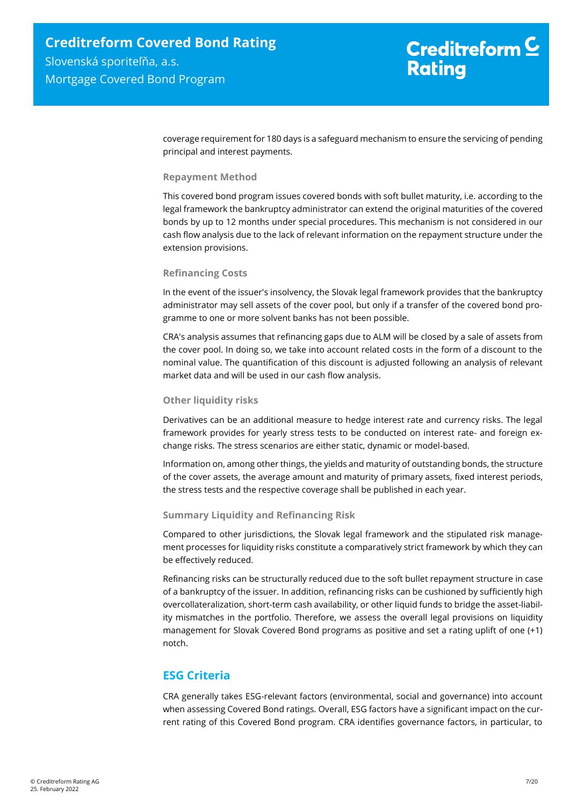coverage requirement for 180 days is a safeguard mechanism to ensure the servicing of pending principal and interest payments.

#### **Repayment Method**

This covered bond program issues covered bonds with soft bullet maturity, i.e. according to the legal framework the bankruptcy administrator can extend the original maturities of the covered bonds by up to 12 months under special procedures. This mechanism is not considered in our cash flow analysis due to the lack of relevant information on the repayment structure under the extension provisions.

#### **Refinancing Costs**

In the event of the issuer's insolvency, the Slovak legal framework provides that the bankruptcy administrator may sell assets of the cover pool, but only if a transfer of the covered bond programme to one or more solvent banks has not been possible.

CRA's analysis assumes that refinancing gaps due to ALM will be closed by a sale of assets from the cover pool. In doing so, we take into account related costs in the form of a discount to the nominal value. The quantification of this discount is adjusted following an analysis of relevant market data and will be used in our cash flow analysis.

#### **Other liquidity risks**

Derivatives can be an additional measure to hedge interest rate and currency risks. The legal framework provides for yearly stress tests to be conducted on interest rate- and foreign exchange risks. The stress scenarios are either static, dynamic or model-based.

Information on, among other things, the yields and maturity of outstanding bonds, the structure of the cover assets, the average amount and maturity of primary assets, fixed interest periods, the stress tests and the respective coverage shall be published in each year.

#### **Summary Liquidity and Refinancing Risk**

Compared to other jurisdictions, the Slovak legal framework and the stipulated risk management processes for liquidity risks constitute a comparatively strict framework by which they can be effectively reduced.

Refinancing risks can be structurally reduced due to the soft bullet repayment structure in case of a bankruptcy of the issuer. In addition, refinancing risks can be cushioned by sufficiently high overcollateralization, short-term cash availability, or other liquid funds to bridge the asset-liability mismatches in the portfolio. Therefore, we assess the overall legal provisions on liquidity management for Slovak Covered Bond programs as positive and set a rating uplift of one (+1) notch.

## <span id="page-6-0"></span>**ESG Criteria**

CRA generally takes ESG-relevant factors (environmental, social and governance) into account when assessing Covered Bond ratings. Overall, ESG factors have a significant impact on the current rating of this Covered Bond program. CRA identifies governance factors, in particular, to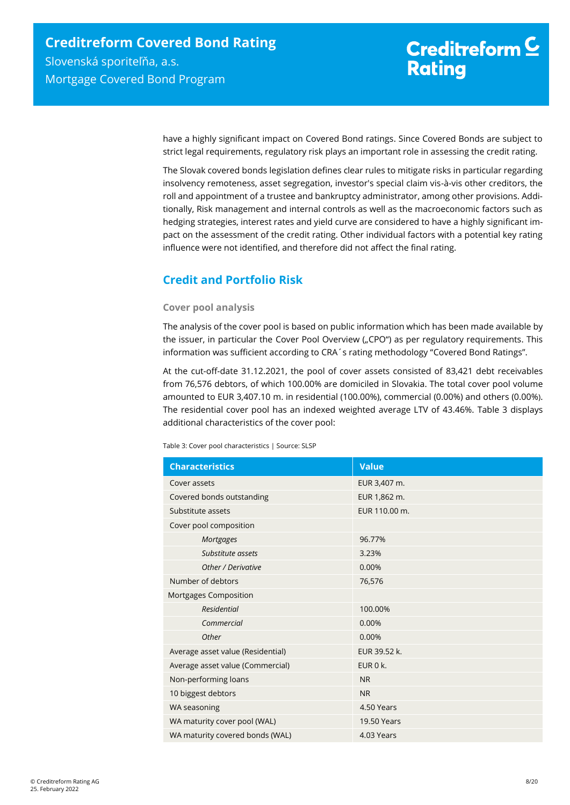have a highly significant impact on Covered Bond ratings. Since Covered Bonds are subject to strict legal requirements, regulatory risk plays an important role in assessing the credit rating.

The Slovak covered bonds legislation defines clear rules to mitigate risks in particular regarding insolvency remoteness, asset segregation, investor's special claim vis-à-vis other creditors, the roll and appointment of a trustee and bankruptcy administrator, among other provisions. Additionally, Risk management and internal controls as well as the macroeconomic factors such as hedging strategies, interest rates and yield curve are considered to have a highly significant impact on the assessment of the credit rating. Other individual factors with a potential key rating influence were not identified, and therefore did not affect the final rating.

# <span id="page-7-0"></span>**Credit and Portfolio Risk**

#### **Cover pool analysis**

The analysis of the cover pool is based on public information which has been made available by the issuer, in particular the Cover Pool Overview ("CPO") as per regulatory requirements. This information was sufficient according to CRA´s rating methodology "Covered Bond Ratings".

At the cut-off-date 31.12.2021, the pool of cover assets consisted of 83,421 debt receivables from 76,576 debtors, of which 100.00% are domiciled in Slovakia. The total cover pool volume amounted to EUR 3,407.10 m. in residential (100.00%), commercial (0.00%) and others (0.00%). The residential cover pool has an indexed weighted average LTV of 43.46%. [Table 3](#page-7-1) displays additional characteristics of the cover pool:

<span id="page-7-1"></span>Table 3: Cover pool characteristics | Source: SLSP

| <b>Characteristics</b>            | <b>Value</b>       |
|-----------------------------------|--------------------|
| Cover assets                      | EUR 3,407 m.       |
| Covered bonds outstanding         | EUR 1,862 m.       |
| Substitute assets                 | EUR 110.00 m.      |
| Cover pool composition            |                    |
| Mortgages                         | 96.77%             |
| Substitute assets                 | 3.23%              |
| Other / Derivative                | 0.00%              |
| Number of debtors                 | 76,576             |
| Mortgages Composition             |                    |
| <b>Residential</b>                | 100.00%            |
| Commercial                        | 0.00%              |
| Other                             | 0.00%              |
| Average asset value (Residential) | EUR 39.52 k.       |
| Average asset value (Commercial)  | EUR 0 k.           |
| Non-performing loans              | <b>NR</b>          |
| 10 biggest debtors                | <b>NR</b>          |
| WA seasoning                      | 4.50 Years         |
| WA maturity cover pool (WAL)      | <b>19.50 Years</b> |
| WA maturity covered bonds (WAL)   | 4.03 Years         |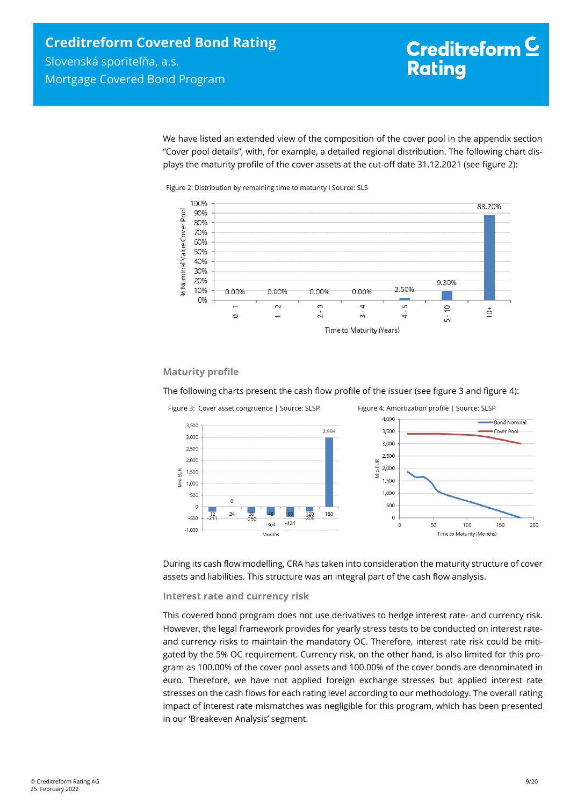We have listed an extended view of the composition of the cover pool in the appendix section "Cover pool details", with, for example, a detailed regional distribution. The following chart displays the maturity profile of the cover assets at the cut-off date 31.12.2021 (see [figure 2\)](#page-8-0):



<span id="page-8-0"></span>

#### **Maturity profile**

The following charts present the cash flow profile of the issuer (see [figure 3](#page-8-1) and [figure 4\)](#page-8-2):

<span id="page-8-2"></span><span id="page-8-1"></span>

During its cash flow modelling, CRA has taken into consideration the maturity structure of cover assets and liabilities. This structure was an integral part of the cash flow analysis.

#### **Interest rate and currency risk**

This covered bond program does not use derivatives to hedge interest rate- and currency risk. However, the legal framework provides for yearly stress tests to be conducted on interest rateand currency risks to maintain the mandatory OC. Therefore, interest rate risk could be mitigated by the 5% OC requirement. Currency risk, on the other hand, is also limited for this program as 100.00% of the cover pool assets and 100.00% of the cover bonds are denominated in euro. Therefore, we have not applied foreign exchange stresses but applied interest rate stresses on the cash flows for each rating level according to our methodology. The overall rating impact of interest rate mismatches was negligible for this program, which has been presented in our 'Breakeven Analysis' segment.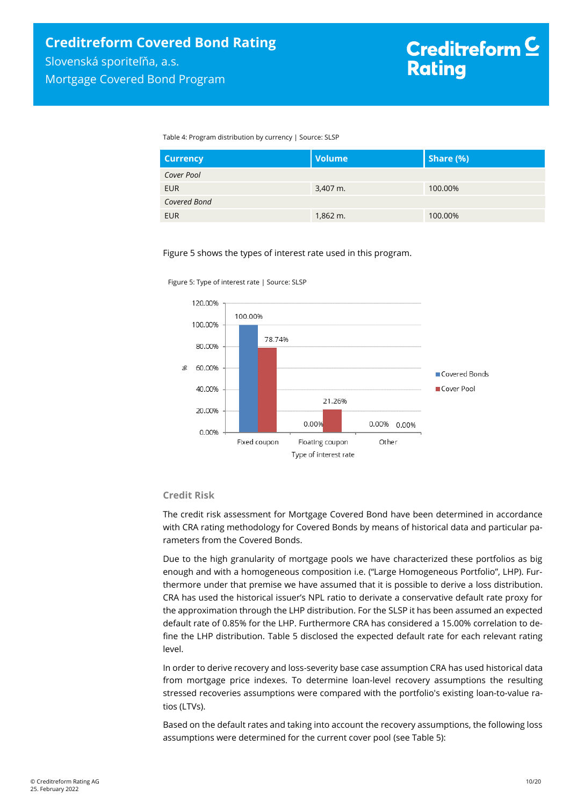Table 4: Program distribution by currency | Source: SLSP

| <b>Currency</b> | <b>Volume</b> | Share (%) |
|-----------------|---------------|-----------|
| Cover Pool      |               |           |
| <b>EUR</b>      | 3,407 m.      | 100.00%   |
| Covered Bond    |               |           |
| <b>EUR</b>      | $1,862 \; m.$ | 100.00%   |

Figure 5 shows the types of interest rate used in this program.



Figure 5: Type of interest rate | Source: SLSP

#### **Credit Risk**

The credit risk assessment for Mortgage Covered Bond have been determined in accordance with CRA rating methodology for Covered Bonds by means of historical data and particular parameters from the Covered Bonds.

Due to the high granularity of mortgage pools we have characterized these portfolios as big enough and with a homogeneous composition i.e. ("Large Homogeneous Portfolio", LHP). Furthermore under that premise we have assumed that it is possible to derive a loss distribution. CRA has used the historical issuer's NPL ratio to derivate a conservative default rate proxy for the approximation through the LHP distribution. For the SLSP it has been assumed an expected default rate of 0.85% for the LHP. Furthermore CRA has considered a 15.00% correlation to define the LHP distribution. [Table 5](#page-10-1) disclosed the expected default rate for each relevant rating level.

In order to derive recovery and loss-severity base case assumption CRA has used historical data from mortgage price indexes. To determine loan-level recovery assumptions the resulting stressed recoveries assumptions were compared with the portfolio's existing loan-to-value ratios (LTVs).

Based on the default rates and taking into account the recovery assumptions, the following loss assumptions were determined for the current cover pool (se[e Table 5\)](#page-10-1):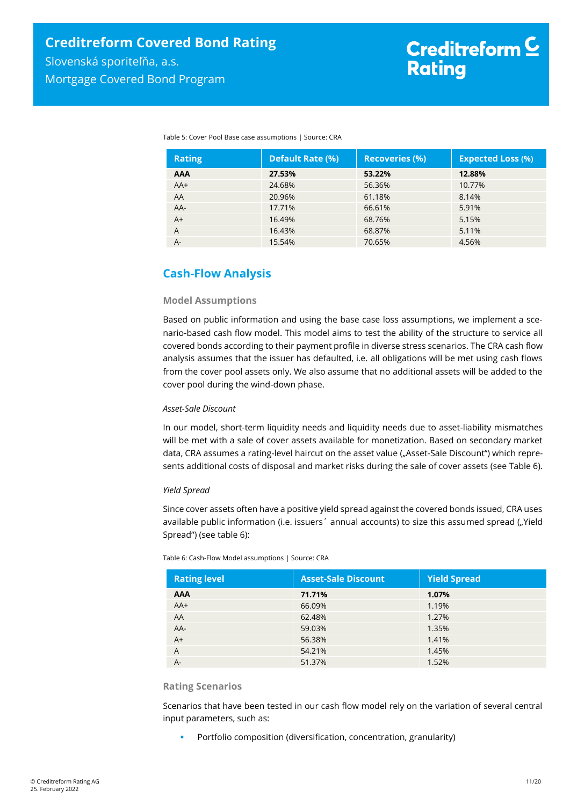| <b>Rating</b> | <b>Default Rate (%)</b> | <b>Recoveries (%)</b> | <b>Expected Loss (%)</b> |
|---------------|-------------------------|-----------------------|--------------------------|
| <b>AAA</b>    | 27.53%                  | 53.22%                | 12.88%                   |
| $AA+$         | 24.68%                  | 56.36%                | 10.77%                   |
| AA            | 20.96%                  | 61.18%                | 8.14%                    |
| AA-           | 17.71%                  | 66.61%                | 5.91%                    |
| $A+$          | 16.49%                  | 68.76%                | 5.15%                    |
| A             | 16.43%                  | 68.87%                | 5.11%                    |
| $A -$         | 15.54%                  | 70.65%                | 4.56%                    |

<span id="page-10-1"></span>Table 5: Cover Pool Base case assumptions | Source: CRA

# <span id="page-10-0"></span>**Cash-Flow Analysis**

#### **Model Assumptions**

Based on public information and using the base case loss assumptions, we implement a scenario-based cash flow model. This model aims to test the ability of the structure to service all covered bonds according to their payment profile in diverse stress scenarios. The CRA cash flow analysis assumes that the issuer has defaulted, i.e. all obligations will be met using cash flows from the cover pool assets only. We also assume that no additional assets will be added to the cover pool during the wind-down phase.

#### *Asset-Sale Discount*

In our model, short-term liquidity needs and liquidity needs due to asset-liability mismatches will be met with a sale of cover assets available for monetization. Based on secondary market data, CRA assumes a rating-level haircut on the asset value ("Asset-Sale Discount") which represents additional costs of disposal and market risks during the sale of cover assets (see [Table 6\)](#page-10-2).

#### *Yield Spread*

Since cover assets often have a positive yield spread against the covered bonds issued, CRA uses available public information (i.e. issuers´ annual accounts) to size this assumed spread ("Yield Spread") (see [table 6\)](#page-10-2):

| <b>Rating level</b> | <b>Asset-Sale Discount</b> | Yield Spread |
|---------------------|----------------------------|--------------|
| <b>AAA</b>          | 71.71%                     | 1.07%        |
| $AA+$               | 66.09%                     | 1.19%        |
| AA                  | 62.48%                     | 1.27%        |
| $AA-$               | 59.03%                     | 1.35%        |
| $A+$                | 56.38%                     | 1.41%        |
| $\overline{A}$      | 54.21%                     | 1.45%        |
| $A -$               | 51.37%                     | 1.52%        |

<span id="page-10-2"></span>Table 6: Cash-Flow Model assumptions | Source: CRA

#### **Rating Scenarios**

Scenarios that have been tested in our cash flow model rely on the variation of several central input parameters, such as:

Portfolio composition (diversification, concentration, granularity)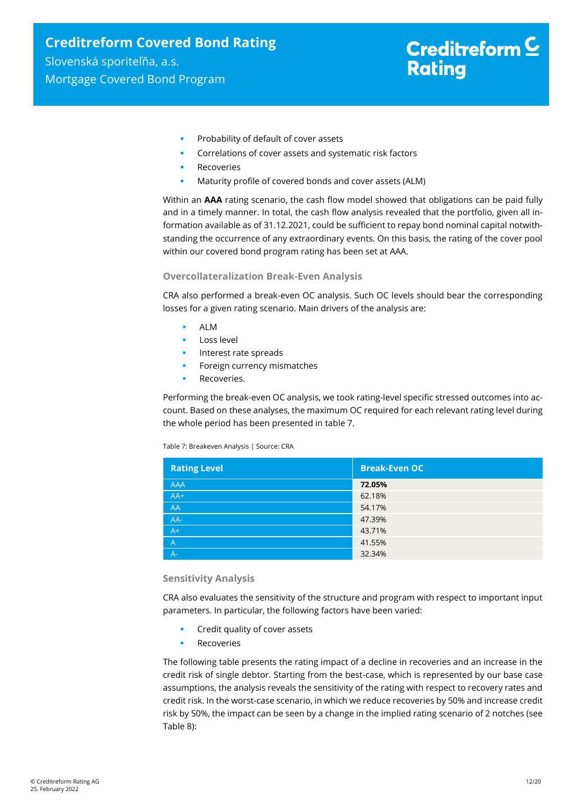- **Probability of default of cover assets**
- Correlations of cover assets and systematic risk factors
- Recoveries
- Maturity profile of covered bonds and cover assets (ALM)

Within an **AAA** rating scenario, the cash flow model showed that obligations can be paid fully and in a timely manner. In total, the cash flow analysis revealed that the portfolio, given all information available as of 31.12.2021, could be sufficient to repay bond nominal capital notwithstanding the occurrence of any extraordinary events. On this basis, the rating of the cover pool within our covered bond program rating has been set at AAA.

#### **Overcollateralization Break-Even Analysis**

CRA also performed a break-even OC analysis. Such OC levels should bear the corresponding losses for a given rating scenario. Main drivers of the analysis are:

- ALM
- Loss level
- Interest rate spreads
- Foreign currency mismatches
- Recoveries.

Performing the break-even OC analysis, we took rating-level specific stressed outcomes into account. Based on these analyses, the maximum OC required for each relevant rating level during the whole period has been presented i[n table 7.](#page-11-0)

<span id="page-11-0"></span>Table 7: Breakeven Analysis | Source: CRA

| <b>Rating Level</b> | <b>Break-Even OC</b> |
|---------------------|----------------------|
| <b>AAA</b>          | 72.05%               |
| $AA+$               | 62.18%               |
| AA                  | 54.17%               |
| AA-                 | 47.39%               |
| $A+$                | 43.71%               |
| $\overline{A}$      | 41.55%               |
| $A -$               | 32.34%               |

#### **Sensitivity Analysis**

CRA also evaluates the sensitivity of the structure and program with respect to important input parameters. In particular, the following factors have been varied:

- Credit quality of cover assets
- Recoveries

The following table presents the rating impact of a decline in recoveries and an increase in the credit risk of single debtor. Starting from the best-case, which is represented by our base case assumptions, the analysis reveals the sensitivity of the rating with respect to recovery rates and credit risk. In the worst-case scenario, in which we reduce recoveries by 50% and increase credit risk by 50%, the impact can be seen by a change in the implied rating scenario of 2 notches (see [Table 8\)](#page-12-1):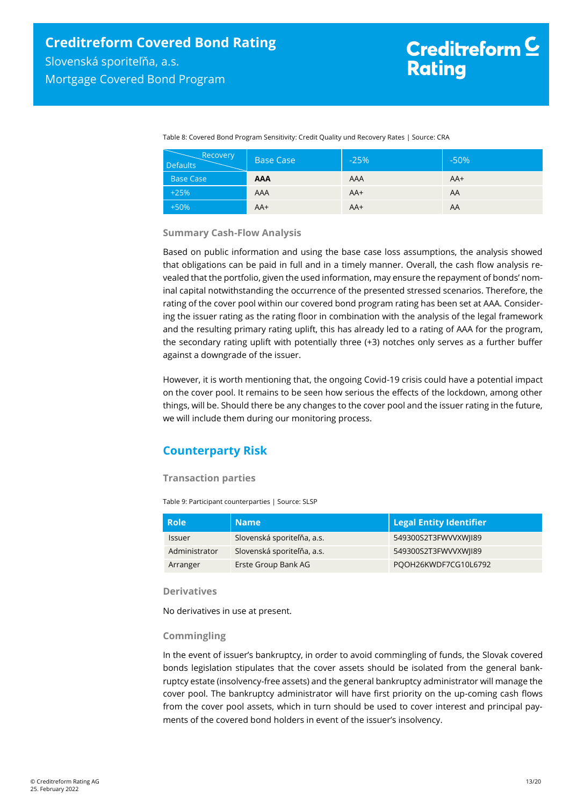<span id="page-12-1"></span>Table 8: Covered Bond Program Sensitivity: Credit Quality und Recovery Rates | Source: CRA

| Recovery<br><b>Defaults</b> | <b>Base Case</b> | $-25%$ | $-50%$ |
|-----------------------------|------------------|--------|--------|
| <b>Base Case</b>            | <b>AAA</b>       | AAA    | $AA+$  |
| $+25%$                      | AAA              | $AA+$  | AA     |
| $+50%$                      | $AA+$            | AA+    | AΑ     |

#### **Summary Cash-Flow Analysis**

Based on public information and using the base case loss assumptions, the analysis showed that obligations can be paid in full and in a timely manner. Overall, the cash flow analysis revealed that the portfolio, given the used information, may ensure the repayment of bonds' nominal capital notwithstanding the occurrence of the presented stressed scenarios. Therefore, the rating of the cover pool within our covered bond program rating has been set at AAA. Considering the issuer rating as the rating floor in combination with the analysis of the legal framework and the resulting primary rating uplift, this has already led to a rating of AAA for the program, the secondary rating uplift with potentially three (+3) notches only serves as a further buffer against a downgrade of the issuer.

However, it is worth mentioning that, the ongoing Covid-19 crisis could have a potential impact on the cover pool. It remains to be seen how serious the effects of the lockdown, among other things, will be. Should there be any changes to the cover pool and the issuer rating in the future, we will include them during our monitoring process.

# <span id="page-12-0"></span>**Counterparty Risk**

#### **Transaction parties**

Table 9: Participant counterparties | Source: SLSP

| <b>Role</b>   | <b>Name</b>                | Legal Entity Identifier |
|---------------|----------------------------|-------------------------|
| <b>Issuer</b> | Slovenská sporiteľňa, a.s. | 549300S2T3FWVVXWJI89    |
| Administrator | Slovenská sporiteľňa, a.s. | 549300S2T3FWVVXWJI89    |
| Arranger      | Erste Group Bank AG        | POOH26KWDF7CG10L6792    |

#### **Derivatives**

No derivatives in use at present.

#### **Commingling**

In the event of issuer's bankruptcy, in order to avoid commingling of funds, the Slovak covered bonds legislation stipulates that the cover assets should be isolated from the general bankruptcy estate (insolvency-free assets) and the general bankruptcy administrator will manage the cover pool. The bankruptcy administrator will have first priority on the up-coming cash flows from the cover pool assets, which in turn should be used to cover interest and principal payments of the covered bond holders in event of the issuer's insolvency.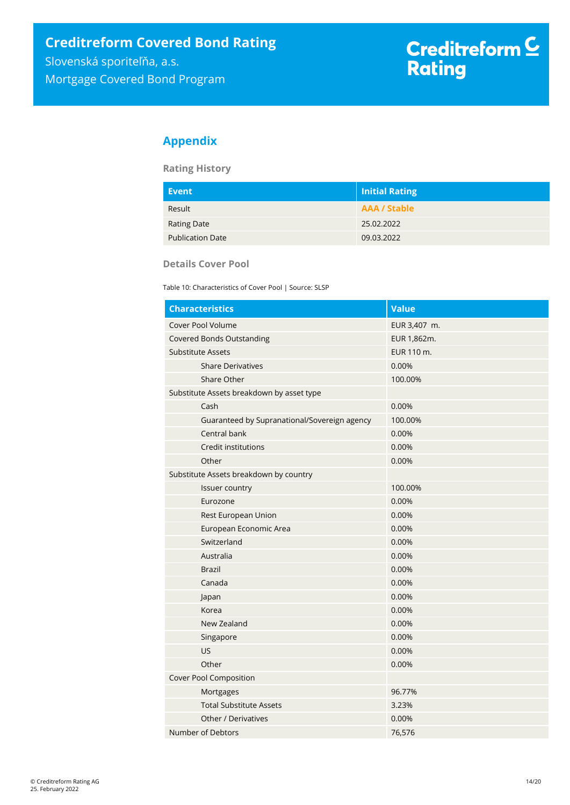# <span id="page-13-0"></span>**Appendix**

**Rating History**

| Event                   | Initial Rating      |
|-------------------------|---------------------|
| Result                  | <b>AAA / Stable</b> |
| <b>Rating Date</b>      | 25.02.2022          |
| <b>Publication Date</b> | 09.03.2022          |

**Details Cover Pool** 

Table 10: Characteristics of Cover Pool | Source: SLSP

| <b>Characteristics</b>                       | <b>Value</b> |
|----------------------------------------------|--------------|
| Cover Pool Volume                            | EUR 3,407 m. |
| <b>Covered Bonds Outstanding</b>             | EUR 1,862m.  |
| Substitute Assets                            | EUR 110 m.   |
| <b>Share Derivatives</b>                     | 0.00%        |
| Share Other                                  | 100.00%      |
| Substitute Assets breakdown by asset type    |              |
| Cash                                         | 0.00%        |
| Guaranteed by Supranational/Sovereign agency | 100.00%      |
| Central bank                                 | 0.00%        |
| Credit institutions                          | 0.00%        |
| Other                                        | 0.00%        |
| Substitute Assets breakdown by country       |              |
| Issuer country                               | 100.00%      |
| Eurozone                                     | 0.00%        |
| Rest European Union                          | 0.00%        |
| European Economic Area                       | 0.00%        |
| Switzerland                                  | 0.00%        |
| Australia                                    | 0.00%        |
| <b>Brazil</b>                                | 0.00%        |
| Canada                                       | 0.00%        |
| Japan                                        | 0.00%        |
| Korea                                        | 0.00%        |
| New Zealand                                  | 0.00%        |
| Singapore                                    | 0.00%        |
| US                                           | 0.00%        |
| Other                                        | 0.00%        |
| <b>Cover Pool Composition</b>                |              |
| Mortgages                                    | 96.77%       |
| <b>Total Substitute Assets</b>               | 3.23%        |
| Other / Derivatives                          | 0.00%        |
| Number of Debtors                            | 76,576       |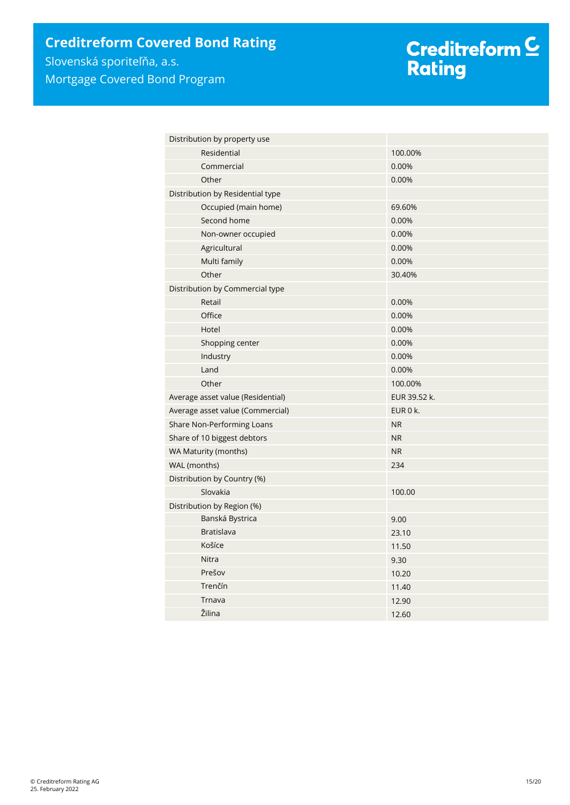Mortgage Covered Bond Program

# Creditreform <mark>C</mark><br>Rating

| Distribution by property use      |              |
|-----------------------------------|--------------|
| Residential                       | 100.00%      |
| Commercial                        | 0.00%        |
| Other                             | 0.00%        |
| Distribution by Residential type  |              |
| Occupied (main home)              | 69.60%       |
| Second home                       | 0.00%        |
| Non-owner occupied                | 0.00%        |
| Agricultural                      | 0.00%        |
| Multi family                      | 0.00%        |
| Other                             | 30.40%       |
| Distribution by Commercial type   |              |
| Retail                            | 0.00%        |
| Office                            | 0.00%        |
| Hotel                             | 0.00%        |
| Shopping center                   | 0.00%        |
| Industry                          | 0.00%        |
| Land                              | 0.00%        |
| Other                             | 100.00%      |
| Average asset value (Residential) | EUR 39.52 k. |
| Average asset value (Commercial)  | EUR 0 k.     |
| Share Non-Performing Loans        | <b>NR</b>    |
| Share of 10 biggest debtors       | <b>NR</b>    |
| WA Maturity (months)              | <b>NR</b>    |
| WAL (months)                      | 234          |
| Distribution by Country (%)       |              |
| Slovakia                          | 100.00       |
| Distribution by Region (%)        |              |
| Banská Bystrica                   | 9.00         |
| <b>Bratislava</b>                 | 23.10        |
| Košíce                            | 11.50        |
| Nitra                             | 9.30         |
| Prešov                            | 10.20        |
| Trenčín                           | 11.40        |
| Trnava                            | 12.90        |
| Žilina                            | 12.60        |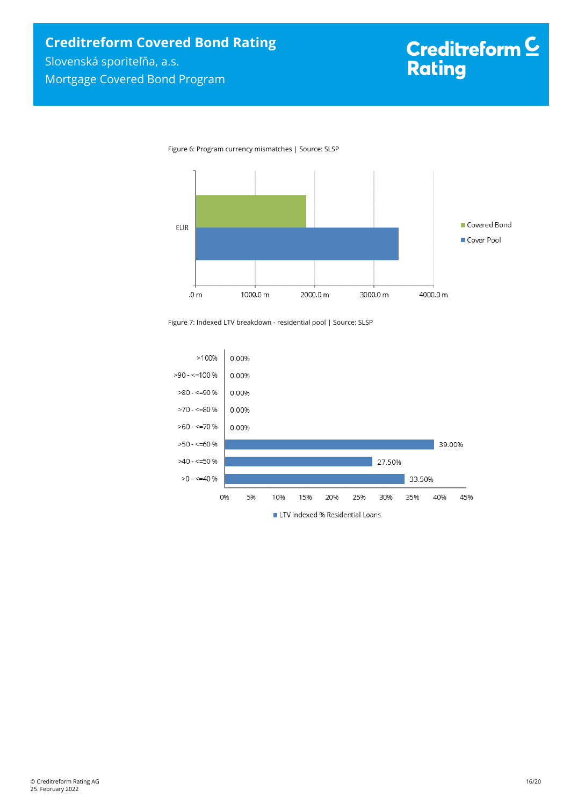



Figure 7: Indexed LTV breakdown - residential pool | Source: SLSP

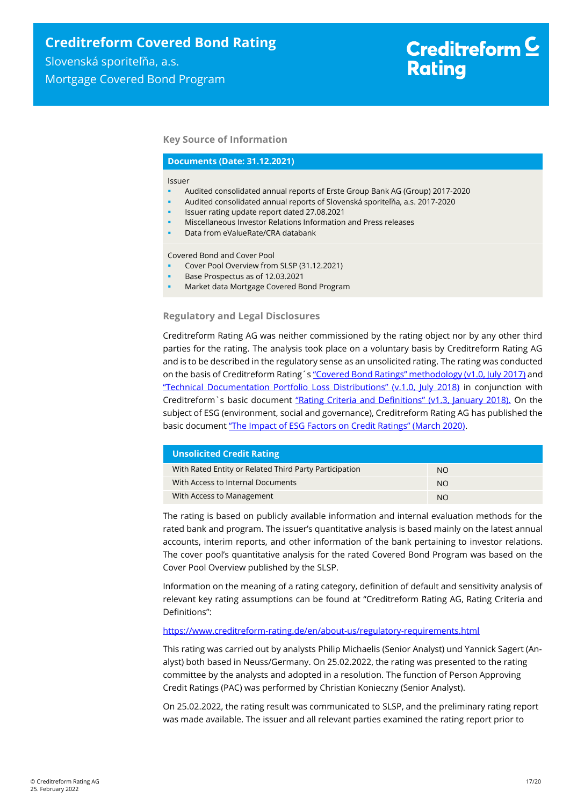**Key Source of Information**

#### **Documents (Date: 31.12.2021)**

#### Issuer

- Audited consolidated annual reports of Erste Group Bank AG (Group) 2017-2020
- Audited consolidated annual reports of Slovenská sporiteľňa, a.s. 2017-2020
	- Issuer rating update report dated 27.08.2021
	- Miscellaneous Investor Relations Information and Press releases
	- Data from eValueRate/CRA databank

Covered Bond and Cover Pool

- Cover Pool Overview from SLSP (31.12.2021)
- Base Prospectus as of 12.03.2021
- Market data Mortgage Covered Bond Program

**Regulatory and Legal Disclosures**

Creditreform Rating AG was neither commissioned by the rating object nor by any other third parties for the rating. The analysis took place on a voluntary basis by Creditreform Rating AG and is to be described in the regulatory sense as an unsolicited rating. The rating was conducted on the basis of Creditreform Rating's ["Covered Bond Ratings" methodology \(v1.0, July 2017\)](https://creditreform-rating.de/en/about-us/regulatory-requirements.html?file=files/content/downloads/Externes%20Rating/Regulatorische%20Anforderungen/EN/Ratingmethodiken%20EN/Rating%20Methodology%20Covered%20Bonds.pdf) and ["Technical Documentation Portfolio Loss Distributions" \(v.1.0, July 2018\)](https://creditreform-rating.de/en/about-us/regulatory-requirements.html?file=files/content/downloads/Externes%20Rating/Regulatorische%20Anforderungen/EN/Ratingmethodiken%20EN/Technical%20Documentation%20Portfolio%20Loss%20Distributions.pdf) in conjunction with Creditreform`s basic document ["Rating Criteria and Definitions" \(v1.3, January 2018\).](https://creditreform-rating.de/en/about-us/regulatory-requirements.html?file=files/content/downloads/Externes%20Rating/Regulatorische%20Anforderungen/EN/Ratingmethodiken%20EN/CRAG%20Rating%20Criteria%20and%20Definitions.pdf) On the subject of ESG (environment, social and governance), Creditreform Rating AG has published the basic document ["The Impact of ESG Factors on Credit Ratings" \(March 2020\)](https://creditreform-rating.de/en/about-us/regulatory-requirements.html?file=files/content/downloads/Externes%20Rating/Regulatorische%20Anforderungen/EN/Ratingmethodiken%20EN/The%20Impact%20of%20ESG%20Factors%20on%20Credit%20Ratings.pdf).

| <b>Unsolicited Credit Rating</b>                       |           |  |  |
|--------------------------------------------------------|-----------|--|--|
| With Rated Entity or Related Third Party Participation | NO.       |  |  |
| With Access to Internal Documents                      | <b>NO</b> |  |  |
| With Access to Management                              | <b>NO</b> |  |  |

The rating is based on publicly available information and internal evaluation methods for the rated bank and program. The issuer's quantitative analysis is based mainly on the latest annual accounts, interim reports, and other information of the bank pertaining to investor relations. The cover pool's quantitative analysis for the rated Covered Bond Program was based on the Cover Pool Overview published by the SLSP.

Information on the meaning of a rating category, definition of default and sensitivity analysis of relevant key rating assumptions can be found at "Creditreform Rating AG, Rating Criteria and Definitions":

#### <https://www.creditreform-rating.de/en/about-us/regulatory-requirements.html>

This rating was carried out by analysts Philip Michaelis (Senior Analyst) und Yannick Sagert (Analyst) both based in Neuss/Germany. On 25.02.2022, the rating was presented to the rating committee by the analysts and adopted in a resolution. The function of Person Approving Credit Ratings (PAC) was performed by Christian Konieczny (Senior Analyst).

On 25.02.2022, the rating result was communicated to SLSP, and the preliminary rating report was made available. The issuer and all relevant parties examined the rating report prior to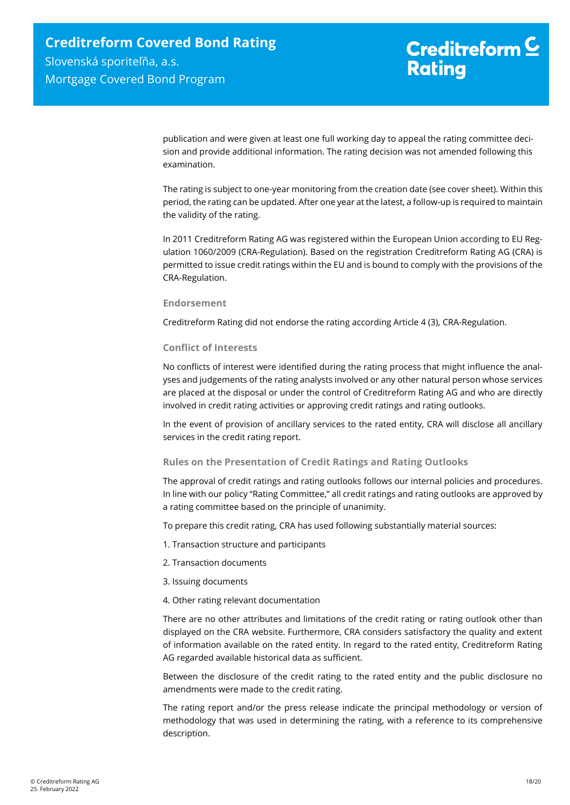publication and were given at least one full working day to appeal the rating committee decision and provide additional information. The rating decision was not amended following this examination.

The rating is subject to one-year monitoring from the creation date (see cover sheet). Within this period, the rating can be updated. After one year at the latest, a follow-up is required to maintain the validity of the rating.

In 2011 Creditreform Rating AG was registered within the European Union according to EU Regulation 1060/2009 (CRA-Regulation). Based on the registration Creditreform Rating AG (CRA) is permitted to issue credit ratings within the EU and is bound to comply with the provisions of the CRA-Regulation.

#### **Endorsement**

Creditreform Rating did not endorse the rating according Article 4 (3), CRA-Regulation.

#### **Conflict of Interests**

No conflicts of interest were identified during the rating process that might influence the analyses and judgements of the rating analysts involved or any other natural person whose services are placed at the disposal or under the control of Creditreform Rating AG and who are directly involved in credit rating activities or approving credit ratings and rating outlooks.

In the event of provision of ancillary services to the rated entity, CRA will disclose all ancillary services in the credit rating report.

#### **Rules on the Presentation of Credit Ratings and Rating Outlooks**

The approval of credit ratings and rating outlooks follows our internal policies and procedures. In line with our policy "Rating Committee," all credit ratings and rating outlooks are approved by a rating committee based on the principle of unanimity.

To prepare this credit rating, CRA has used following substantially material sources:

- 1. Transaction structure and participants
- 2. Transaction documents
- 3. Issuing documents
- 4. Other rating relevant documentation

There are no other attributes and limitations of the credit rating or rating outlook other than displayed on the CRA website. Furthermore, CRA considers satisfactory the quality and extent of information available on the rated entity. In regard to the rated entity, Creditreform Rating AG regarded available historical data as sufficient.

Between the disclosure of the credit rating to the rated entity and the public disclosure no amendments were made to the credit rating.

The rating report and/or the press release indicate the principal methodology or version of methodology that was used in determining the rating, with a reference to its comprehensive description.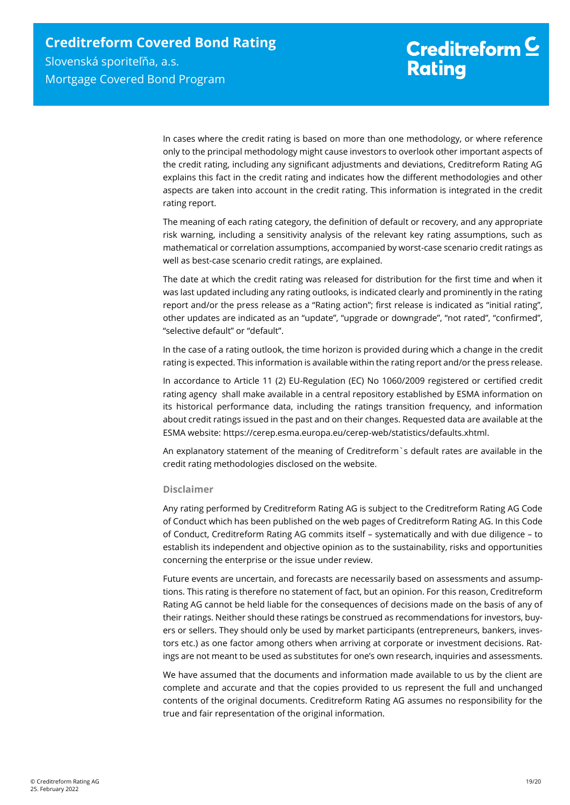In cases where the credit rating is based on more than one methodology, or where reference only to the principal methodology might cause investors to overlook other important aspects of the credit rating, including any significant adjustments and deviations, Creditreform Rating AG explains this fact in the credit rating and indicates how the different methodologies and other aspects are taken into account in the credit rating. This information is integrated in the credit rating report.

The meaning of each rating category, the definition of default or recovery, and any appropriate risk warning, including a sensitivity analysis of the relevant key rating assumptions, such as mathematical or correlation assumptions, accompanied by worst-case scenario credit ratings as well as best-case scenario credit ratings, are explained.

The date at which the credit rating was released for distribution for the first time and when it was last updated including any rating outlooks, is indicated clearly and prominently in the rating report and/or the press release as a "Rating action"; first release is indicated as "initial rating", other updates are indicated as an "update", "upgrade or downgrade", "not rated", "confirmed", "selective default" or "default".

In the case of a rating outlook, the time horizon is provided during which a change in the credit rating is expected. This information is available within the rating report and/or the press release.

In accordance to Article 11 (2) EU-Regulation (EC) No 1060/2009 registered or certified credit rating agency shall make available in a central repository established by ESMA information on its historical performance data, including the ratings transition frequency, and information about credit ratings issued in the past and on their changes. Requested data are available at the ESMA website: https://cerep.esma.europa.eu/cerep-web/statistics/defaults.xhtml.

An explanatory statement of the meaning of Creditreform`s default rates are available in the credit rating methodologies disclosed on the website.

#### **Disclaimer**

Any rating performed by Creditreform Rating AG is subject to the Creditreform Rating AG Code of Conduct which has been published on the web pages of Creditreform Rating AG. In this Code of Conduct, Creditreform Rating AG commits itself – systematically and with due diligence – to establish its independent and objective opinion as to the sustainability, risks and opportunities concerning the enterprise or the issue under review.

Future events are uncertain, and forecasts are necessarily based on assessments and assumptions. This rating is therefore no statement of fact, but an opinion. For this reason, Creditreform Rating AG cannot be held liable for the consequences of decisions made on the basis of any of their ratings. Neither should these ratings be construed as recommendations for investors, buyers or sellers. They should only be used by market participants (entrepreneurs, bankers, investors etc.) as one factor among others when arriving at corporate or investment decisions. Ratings are not meant to be used as substitutes for one's own research, inquiries and assessments.

We have assumed that the documents and information made available to us by the client are complete and accurate and that the copies provided to us represent the full and unchanged contents of the original documents. Creditreform Rating AG assumes no responsibility for the true and fair representation of the original information.